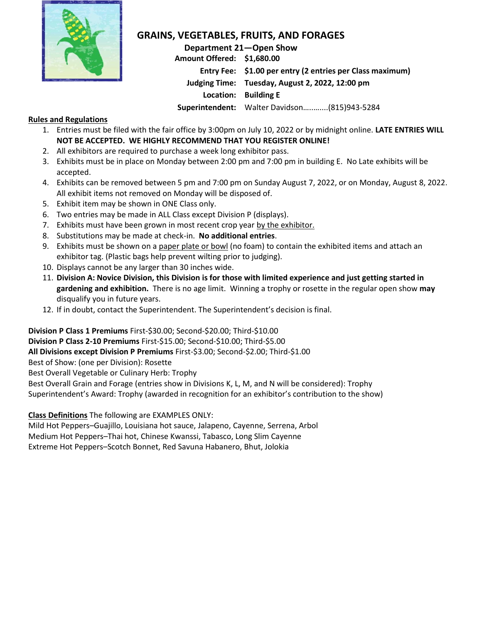

## **GRAINS, VEGETABLES, FRUITS, AND FORAGES**

**Department 21—Open Show Amount Offered: \$1,680.00 Entry Fee: \$1.00 per entry (2 entries per Class maximum) Judging Time: Tuesday, August 2, 2022, 12:00 pm Location: Building E Superintendent:** Walter Davidson…..…....(815)943-5284

## **Rules and Regulations**

- 1. Entries must be filed with the fair office by 3:00pm on July 10, 2022 or by midnight online. **LATE ENTRIES WILL NOT BE ACCEPTED. WE HIGHLY RECOMMEND THAT YOU REGISTER ONLINE!**
- 2. All exhibitors are required to purchase a week long exhibitor pass.
- 3. Exhibits must be in place on Monday between 2:00 pm and 7:00 pm in building E. No Late exhibits will be accepted.
- 4. Exhibits can be removed between 5 pm and 7:00 pm on Sunday August 7, 2022, or on Monday, August 8, 2022. All exhibit items not removed on Monday will be disposed of.
- 5. Exhibit item may be shown in ONE Class only.
- 6. Two entries may be made in ALL Class except Division P (displays).
- 7. Exhibits must have been grown in most recent crop year by the exhibitor.
- 8. Substitutions may be made at check-in. **No additional entries**.
- 9. Exhibits must be shown on a paper plate or bowl (no foam) to contain the exhibited items and attach an exhibitor tag. (Plastic bags help prevent wilting prior to judging).
- 10. Displays cannot be any larger than 30 inches wide.
- 11. **Division A: Novice Division, this Division is for those with limited experience and just getting started in gardening and exhibition.** There is no age limit.Winning a trophy or rosette in the regular open show **may** disqualify you in future years.
- 12. If in doubt, contact the Superintendent. The Superintendent's decision is final.

**Division P Class 1 Premiums** First-\$30.00; Second-\$20.00; Third-\$10.00 **Division P Class 2-10 Premiums** First-\$15.00; Second-\$10.00; Third-\$5.00 **All Divisions except Division P Premiums** First-\$3.00; Second-\$2.00; Third-\$1.00 Best of Show: (one per Division): Rosette Best Overall Vegetable or Culinary Herb: Trophy Best Overall Grain and Forage (entries show in Divisions K, L, M, and N will be considered): Trophy Superintendent's Award: Trophy (awarded in recognition for an exhibitor's contribution to the show)

**Class Definitions** The following are EXAMPLES ONLY:

Mild Hot Peppers–Guajillo, Louisiana hot sauce, Jalapeno, Cayenne, Serrena, Arbol Medium Hot Peppers–Thai hot, Chinese Kwanssi, Tabasco, Long Slim Cayenne Extreme Hot Peppers–Scotch Bonnet, Red Savuna Habanero, Bhut, Jolokia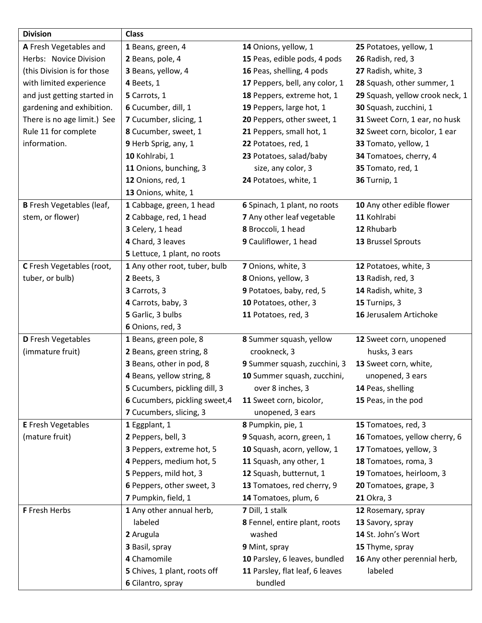| <b>Division</b>                  | <b>Class</b>                                                                                                                                                                                                                     |                                                                                                                                                                                                                                                                              |                                                                                                                                                                                             |
|----------------------------------|----------------------------------------------------------------------------------------------------------------------------------------------------------------------------------------------------------------------------------|------------------------------------------------------------------------------------------------------------------------------------------------------------------------------------------------------------------------------------------------------------------------------|---------------------------------------------------------------------------------------------------------------------------------------------------------------------------------------------|
| A Fresh Vegetables and           | 1 Beans, green, 4                                                                                                                                                                                                                | 14 Onions, yellow, 1                                                                                                                                                                                                                                                         | 25 Potatoes, yellow, 1                                                                                                                                                                      |
| Herbs: Novice Division           | 2 Beans, pole, 4                                                                                                                                                                                                                 | 15 Peas, edible pods, 4 pods<br>26 Radish, red, 3                                                                                                                                                                                                                            |                                                                                                                                                                                             |
| (this Division is for those      | 3 Beans, yellow, 4                                                                                                                                                                                                               | 16 Peas, shelling, 4 pods                                                                                                                                                                                                                                                    | 27 Radish, white, 3                                                                                                                                                                         |
| with limited experience          | 4 Beets, 1                                                                                                                                                                                                                       | 17 Peppers, bell, any color, 1                                                                                                                                                                                                                                               | 28 Squash, other summer, 1                                                                                                                                                                  |
| and just getting started in      | 5 Carrots, 1                                                                                                                                                                                                                     | 18 Peppers, extreme hot, 1                                                                                                                                                                                                                                                   | 29 Squash, yellow crook neck, 1                                                                                                                                                             |
| gardening and exhibition.        | 6 Cucumber, dill, 1                                                                                                                                                                                                              | 19 Peppers, large hot, 1                                                                                                                                                                                                                                                     | 30 Squash, zucchini, 1                                                                                                                                                                      |
| There is no age limit.) See      | 7 Cucumber, slicing, 1                                                                                                                                                                                                           | 20 Peppers, other sweet, 1                                                                                                                                                                                                                                                   | 31 Sweet Corn, 1 ear, no husk                                                                                                                                                               |
| Rule 11 for complete             | 8 Cucumber, sweet, 1                                                                                                                                                                                                             | 21 Peppers, small hot, 1                                                                                                                                                                                                                                                     | 32 Sweet corn, bicolor, 1 ear                                                                                                                                                               |
| information.                     | 9 Herb Sprig, any, 1                                                                                                                                                                                                             | 22 Potatoes, red, 1                                                                                                                                                                                                                                                          | 33 Tomato, yellow, 1                                                                                                                                                                        |
|                                  | 10 Kohlrabi, 1                                                                                                                                                                                                                   | 23 Potatoes, salad/baby                                                                                                                                                                                                                                                      | 34 Tomatoes, cherry, 4                                                                                                                                                                      |
|                                  | 11 Onions, bunching, 3                                                                                                                                                                                                           | size, any color, 3                                                                                                                                                                                                                                                           | 35 Tomato, red, 1                                                                                                                                                                           |
|                                  | 12 Onions, red, 1                                                                                                                                                                                                                | 24 Potatoes, white, 1                                                                                                                                                                                                                                                        | <b>36 Turnip, 1</b>                                                                                                                                                                         |
|                                  | 13 Onions, white, 1                                                                                                                                                                                                              |                                                                                                                                                                                                                                                                              |                                                                                                                                                                                             |
| <b>B</b> Fresh Vegetables (leaf, | 1 Cabbage, green, 1 head                                                                                                                                                                                                         | 6 Spinach, 1 plant, no roots                                                                                                                                                                                                                                                 | 10 Any other edible flower                                                                                                                                                                  |
| stem, or flower)                 | 2 Cabbage, red, 1 head                                                                                                                                                                                                           | 7 Any other leaf vegetable                                                                                                                                                                                                                                                   | 11 Kohlrabi                                                                                                                                                                                 |
|                                  | 3 Celery, 1 head                                                                                                                                                                                                                 | 8 Broccoli, 1 head                                                                                                                                                                                                                                                           | 12 Rhubarb                                                                                                                                                                                  |
|                                  | 4 Chard, 3 leaves                                                                                                                                                                                                                | 9 Cauliflower, 1 head                                                                                                                                                                                                                                                        | 13 Brussel Sprouts                                                                                                                                                                          |
|                                  | 5 Lettuce, 1 plant, no roots                                                                                                                                                                                                     |                                                                                                                                                                                                                                                                              |                                                                                                                                                                                             |
| C Fresh Vegetables (root,        | 1 Any other root, tuber, bulb                                                                                                                                                                                                    | 7 Onions, white, 3                                                                                                                                                                                                                                                           | 12 Potatoes, white, 3                                                                                                                                                                       |
| tuber, or bulb)                  | 2 Beets, 3                                                                                                                                                                                                                       | 8 Onions, yellow, 3                                                                                                                                                                                                                                                          | 13 Radish, red, 3                                                                                                                                                                           |
|                                  | 3 Carrots, 3                                                                                                                                                                                                                     | 9 Potatoes, baby, red, 5                                                                                                                                                                                                                                                     | 14 Radish, white, 3                                                                                                                                                                         |
|                                  |                                                                                                                                                                                                                                  |                                                                                                                                                                                                                                                                              |                                                                                                                                                                                             |
|                                  |                                                                                                                                                                                                                                  |                                                                                                                                                                                                                                                                              | 16 Jerusalem Artichoke                                                                                                                                                                      |
|                                  | 6 Onions, red, 3                                                                                                                                                                                                                 |                                                                                                                                                                                                                                                                              |                                                                                                                                                                                             |
| D Fresh Vegetables               | 1 Beans, green pole, 8                                                                                                                                                                                                           |                                                                                                                                                                                                                                                                              | 12 Sweet corn, unopened                                                                                                                                                                     |
|                                  | 2 Beans, green string, 8                                                                                                                                                                                                         | crookneck, 3                                                                                                                                                                                                                                                                 | husks, 3 ears                                                                                                                                                                               |
|                                  | 3 Beans, other in pod, 8                                                                                                                                                                                                         | 9 Summer squash, zucchini, 3                                                                                                                                                                                                                                                 | 13 Sweet corn, white,                                                                                                                                                                       |
|                                  | 4 Beans, yellow string, 8                                                                                                                                                                                                        | 10 Summer squash, zucchini,                                                                                                                                                                                                                                                  | unopened, 3 ears                                                                                                                                                                            |
|                                  | 5 Cucumbers, pickling dill, 3                                                                                                                                                                                                    | over 8 inches, 3                                                                                                                                                                                                                                                             | 14 Peas, shelling                                                                                                                                                                           |
|                                  | 6 Cucumbers, pickling sweet, 4                                                                                                                                                                                                   | 11 Sweet corn, bicolor,                                                                                                                                                                                                                                                      | 15 Peas, in the pod                                                                                                                                                                         |
|                                  | 7 Cucumbers, slicing, 3                                                                                                                                                                                                          | unopened, 3 ears                                                                                                                                                                                                                                                             |                                                                                                                                                                                             |
| <b>E</b> Fresh Vegetables        | 1 Eggplant, 1                                                                                                                                                                                                                    | 8 Pumpkin, pie, 1                                                                                                                                                                                                                                                            |                                                                                                                                                                                             |
| (mature fruit)                   | 2 Peppers, bell, 3                                                                                                                                                                                                               | 9 Squash, acorn, green, 1                                                                                                                                                                                                                                                    | 16 Tomatoes, yellow cherry, 6                                                                                                                                                               |
|                                  |                                                                                                                                                                                                                                  |                                                                                                                                                                                                                                                                              | 17 Tomatoes, yellow, 3                                                                                                                                                                      |
|                                  | 4 Peppers, medium hot, 5                                                                                                                                                                                                         | 11 Squash, any other, 1                                                                                                                                                                                                                                                      | 18 Tomatoes, roma, 3                                                                                                                                                                        |
|                                  |                                                                                                                                                                                                                                  |                                                                                                                                                                                                                                                                              |                                                                                                                                                                                             |
|                                  |                                                                                                                                                                                                                                  |                                                                                                                                                                                                                                                                              |                                                                                                                                                                                             |
|                                  |                                                                                                                                                                                                                                  |                                                                                                                                                                                                                                                                              |                                                                                                                                                                                             |
| F Fresh Herbs                    |                                                                                                                                                                                                                                  | 7 Dill, 1 stalk                                                                                                                                                                                                                                                              |                                                                                                                                                                                             |
|                                  | labeled                                                                                                                                                                                                                          | 8 Fennel, entire plant, roots                                                                                                                                                                                                                                                | 13 Savory, spray                                                                                                                                                                            |
|                                  | 2 Arugula                                                                                                                                                                                                                        | washed                                                                                                                                                                                                                                                                       | 14 St. John's Wort                                                                                                                                                                          |
|                                  |                                                                                                                                                                                                                                  |                                                                                                                                                                                                                                                                              |                                                                                                                                                                                             |
|                                  | 4 Chamomile                                                                                                                                                                                                                      |                                                                                                                                                                                                                                                                              |                                                                                                                                                                                             |
|                                  |                                                                                                                                                                                                                                  |                                                                                                                                                                                                                                                                              |                                                                                                                                                                                             |
|                                  | 6 Cilantro, spray                                                                                                                                                                                                                | bundled                                                                                                                                                                                                                                                                      |                                                                                                                                                                                             |
| (immature fruit)                 | 4 Carrots, baby, 3<br>5 Garlic, 3 bulbs<br>3 Peppers, extreme hot, 5<br>5 Peppers, mild hot, 3<br>6 Peppers, other sweet, 3<br>7 Pumpkin, field, 1<br>1 Any other annual herb,<br>3 Basil, spray<br>5 Chives, 1 plant, roots off | 10 Potatoes, other, 3<br>11 Potatoes, red, 3<br>8 Summer squash, yellow<br>10 Squash, acorn, yellow, 1<br>12 Squash, butternut, 1<br>13 Tomatoes, red cherry, 9<br>14 Tomatoes, plum, 6<br>9 Mint, spray<br>10 Parsley, 6 leaves, bundled<br>11 Parsley, flat leaf, 6 leaves | 15 Turnips, 3<br>15 Tomatoes, red, 3<br>19 Tomatoes, heirloom, 3<br>20 Tomatoes, grape, 3<br>21 Okra, 3<br>12 Rosemary, spray<br>15 Thyme, spray<br>16 Any other perennial herb,<br>labeled |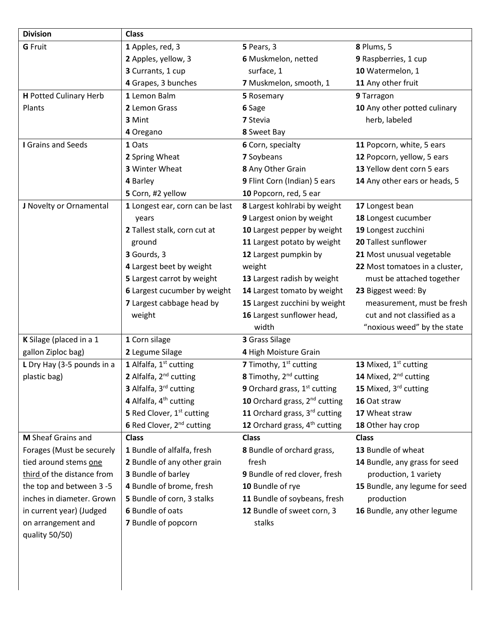| <b>Division</b>               | <b>Class</b>                          |                                           |                                   |
|-------------------------------|---------------------------------------|-------------------------------------------|-----------------------------------|
| <b>G</b> Fruit                | 1 Apples, red, 3                      | 5 Pears, 3                                | 8 Plums, 5                        |
|                               | 2 Apples, yellow, 3                   | 6 Muskmelon, netted                       | 9 Raspberries, 1 cup              |
|                               | 3 Currants, 1 cup                     | surface, 1                                | 10 Watermelon, 1                  |
|                               | 4 Grapes, 3 bunches                   | 7 Muskmelon, smooth, 1                    | 11 Any other fruit                |
| <b>H</b> Potted Culinary Herb | 1 Lemon Balm                          | 5 Rosemary                                | 9 Tarragon                        |
| Plants                        | 2 Lemon Grass                         | 6 Sage                                    | 10 Any other potted culinary      |
|                               | 3 Mint                                | 7 Stevia                                  | herb, labeled                     |
|                               | 4 Oregano                             | 8 Sweet Bay                               |                                   |
| I Grains and Seeds            | 1 Oats                                | 6 Corn, specialty                         | 11 Popcorn, white, 5 ears         |
|                               | 2 Spring Wheat                        | 7 Soybeans                                | 12 Popcorn, yellow, 5 ears        |
|                               | 3 Winter Wheat                        | 8 Any Other Grain                         | 13 Yellow dent corn 5 ears        |
|                               | 4 Barley                              | 9 Flint Corn (Indian) 5 ears              | 14 Any other ears or heads, 5     |
|                               | 5 Corn, #2 yellow                     | 10 Popcorn, red, 5 ear                    |                                   |
| J Novelty or Ornamental       | 1 Longest ear, corn can be last       | 8 Largest kohlrabi by weight              | 17 Longest bean                   |
|                               | years                                 | 9 Largest onion by weight                 | 18 Longest cucumber               |
|                               | 2 Tallest stalk, corn cut at          | 10 Largest pepper by weight               | 19 Longest zucchini               |
|                               | ground                                | 11 Largest potato by weight               | 20 Tallest sunflower              |
|                               | 3 Gourds, 3                           | 12 Largest pumpkin by                     | 21 Most unusual vegetable         |
|                               | 4 Largest beet by weight              | weight                                    | 22 Most tomatoes in a cluster,    |
|                               | 5 Largest carrot by weight            | 13 Largest radish by weight               | must be attached together         |
|                               | 6 Largest cucumber by weight          | 14 Largest tomato by weight               | 23 Biggest weed: By               |
|                               | 7 Largest cabbage head by             | 15 Largest zucchini by weight             | measurement, must be fresh        |
|                               | weight                                | 16 Largest sunflower head,                | cut and not classified as a       |
|                               |                                       | width                                     | "noxious weed" by the state       |
| K Silage (placed in a 1       | 1 Corn silage                         | 3 Grass Silage                            |                                   |
| gallon Ziploc bag)            | 2 Legume Silage                       | 4 High Moisture Grain                     |                                   |
| L Dry Hay (3-5 pounds in a    | 1 Alfalfa, 1st cutting                | 7 Timothy, 1 <sup>st</sup> cutting        | 13 Mixed, 1st cutting             |
| plastic bag)                  | 2 Alfalfa, 2 <sup>nd</sup> cutting    | 8 Timothy, 2 <sup>nd</sup> cutting        | 14 Mixed, 2 <sup>nd</sup> cutting |
|                               | 3 Alfalfa, 3 <sup>rd</sup> cutting    | <b>9</b> Orchard grass, $1st$ cutting     | 15 Mixed, 3rd cutting             |
|                               | 4 Alfalfa, 4 <sup>th</sup> cutting    | 10 Orchard grass, 2 <sup>nd</sup> cutting | 16 Oat straw                      |
|                               | 5 Red Clover, 1 <sup>st</sup> cutting | 11 Orchard grass, 3rd cutting             | 17 Wheat straw                    |
|                               | 6 Red Clover, 2 <sup>nd</sup> cutting | 12 Orchard grass, 4 <sup>th</sup> cutting | 18 Other hay crop                 |
| M Sheaf Grains and            | <b>Class</b>                          | <b>Class</b>                              | <b>Class</b>                      |
| Forages (Must be securely     | 1 Bundle of alfalfa, fresh            | 8 Bundle of orchard grass,                | 13 Bundle of wheat                |
| tied around stems one         | 2 Bundle of any other grain           | fresh                                     | 14 Bundle, any grass for seed     |
| third of the distance from    | 3 Bundle of barley                    | 9 Bundle of red clover, fresh             | production, 1 variety             |
| the top and between 3-5       | 4 Bundle of brome, fresh              | 10 Bundle of rye                          | 15 Bundle, any legume for seed    |
| inches in diameter. Grown     | 5 Bundle of corn, 3 stalks            | 11 Bundle of soybeans, fresh              | production                        |
| in current year) (Judged      | 6 Bundle of oats                      | 12 Bundle of sweet corn, 3                | 16 Bundle, any other legume       |
| on arrangement and            | 7 Bundle of popcorn                   | stalks                                    |                                   |
| quality 50/50)                |                                       |                                           |                                   |
|                               |                                       |                                           |                                   |
|                               |                                       |                                           |                                   |
|                               |                                       |                                           |                                   |
|                               |                                       |                                           |                                   |
|                               |                                       |                                           |                                   |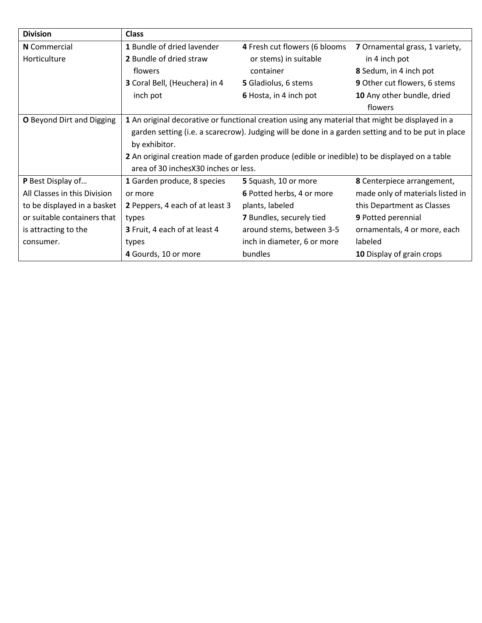| <b>Division</b>              | <b>Class</b>                                                                                       |                               |                                     |  |
|------------------------------|----------------------------------------------------------------------------------------------------|-------------------------------|-------------------------------------|--|
| N Commercial                 | 1 Bundle of dried lavender                                                                         | 4 Fresh cut flowers (6 blooms | 7 Ornamental grass, 1 variety,      |  |
| Horticulture                 | 2 Bundle of dried straw                                                                            | or stems) in suitable         | in 4 inch pot                       |  |
|                              | flowers                                                                                            | container                     | 8 Sedum, in 4 inch pot              |  |
|                              | 3 Coral Bell, (Heuchera) in 4                                                                      | 5 Gladiolus, 6 stems          | <b>9</b> Other cut flowers, 6 stems |  |
|                              | inch pot                                                                                           | 6 Hosta, in 4 inch pot        | 10 Any other bundle, dried          |  |
|                              |                                                                                                    |                               | flowers                             |  |
| O Beyond Dirt and Digging    | 1 An original decorative or functional creation using any material that might be displayed in a    |                               |                                     |  |
|                              | garden setting (i.e. a scarecrow). Judging will be done in a garden setting and to be put in place |                               |                                     |  |
|                              | by exhibitor.                                                                                      |                               |                                     |  |
|                              | 2 An original creation made of garden produce (edible or inedible) to be displayed on a table      |                               |                                     |  |
|                              | area of 30 inches X30 inches or less.                                                              |                               |                                     |  |
| P Best Display of            | 1 Garden produce, 8 species                                                                        | 5 Squash, 10 or more          | 8 Centerpiece arrangement,          |  |
| All Classes in this Division | or more                                                                                            | 6 Potted herbs, 4 or more     | made only of materials listed in    |  |
| to be displayed in a basket  | 2 Peppers, 4 each of at least 3                                                                    | plants, labeled               | this Department as Classes          |  |
| or suitable containers that  | types                                                                                              | 7 Bundles, securely tied      | 9 Potted perennial                  |  |
| is attracting to the         | 3 Fruit, 4 each of at least 4                                                                      | around stems, between 3-5     | ornamentals, 4 or more, each        |  |
| consumer.                    | types                                                                                              | inch in diameter, 6 or more   | labeled                             |  |
|                              | 4 Gourds, 10 or more                                                                               | bundles                       | 10 Display of grain crops           |  |